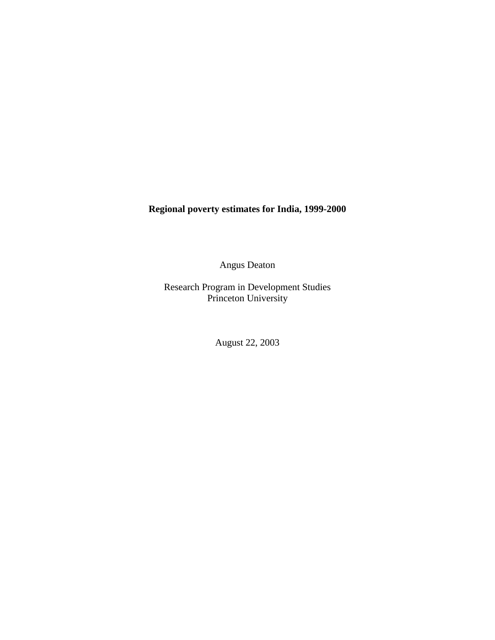**Regional poverty estimates for India, 1999-2000**

Angus Deaton

Research Program in Development Studies Princeton University

August 22, 2003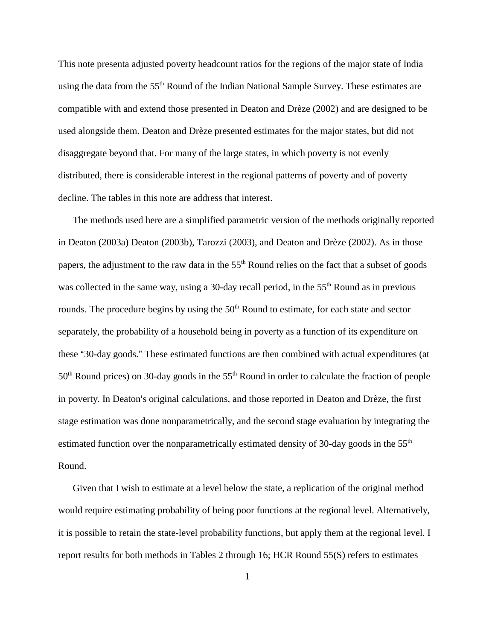This note presenta adjusted poverty headcount ratios for the regions of the major state of India using the data from the 55<sup>th</sup> Round of the Indian National Sample Survey. These estimates are compatible with and extend those presented in Deaton and Drèze (2002) and are designed to be used alongside them. Deaton and Drèze presented estimates for the major states, but did not disaggregate beyond that. For many of the large states, in which poverty is not evenly distributed, there is considerable interest in the regional patterns of poverty and of poverty decline. The tables in this note are address that interest.

The methods used here are a simplified parametric version of the methods originally reported in Deaton (2003a) Deaton (2003b), Tarozzi (2003), and Deaton and Drèze (2002). As in those papers, the adjustment to the raw data in the 55<sup>th</sup> Round relies on the fact that a subset of goods was collected in the same way, using a 30-day recall period, in the  $55<sup>th</sup>$  Round as in previous rounds. The procedure begins by using the 50<sup>th</sup> Round to estimate, for each state and sector separately, the probability of a household being in poverty as a function of its expenditure on these "30-day goods." These estimated functions are then combined with actual expenditures (at  $50<sup>th</sup>$  Round prices) on 30-day goods in the  $55<sup>th</sup>$  Round in order to calculate the fraction of people in poverty. In Deaton's original calculations, and those reported in Deaton and Drèze, the first stage estimation was done nonparametrically, and the second stage evaluation by integrating the estimated function over the nonparametrically estimated density of 30-day goods in the 55<sup>th</sup> Round.

Given that I wish to estimate at a level below the state, a replication of the original method would require estimating probability of being poor functions at the regional level. Alternatively, it is possible to retain the state-level probability functions, but apply them at the regional level. I report results for both methods in Tables 2 through 16; HCR Round 55(S) refers to estimates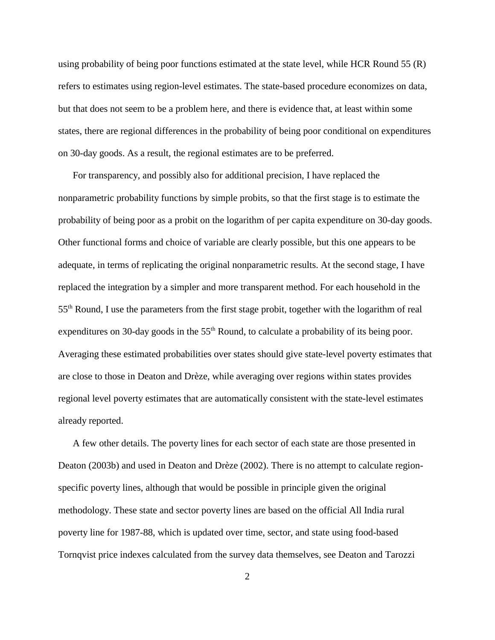using probability of being poor functions estimated at the state level, while HCR Round 55 (R) refers to estimates using region-level estimates. The state-based procedure economizes on data, but that does not seem to be a problem here, and there is evidence that, at least within some states, there are regional differences in the probability of being poor conditional on expenditures on 30-day goods. As a result, the regional estimates are to be preferred.

For transparency, and possibly also for additional precision, I have replaced the nonparametric probability functions by simple probits, so that the first stage is to estimate the probability of being poor as a probit on the logarithm of per capita expenditure on 30-day goods. Other functional forms and choice of variable are clearly possible, but this one appears to be adequate, in terms of replicating the original nonparametric results. At the second stage, I have replaced the integration by a simpler and more transparent method. For each household in the 55th Round, I use the parameters from the first stage probit, together with the logarithm of real expenditures on 30-day goods in the 55<sup>th</sup> Round, to calculate a probability of its being poor. Averaging these estimated probabilities over states should give state-level poverty estimates that are close to those in Deaton and Drèze, while averaging over regions within states provides regional level poverty estimates that are automatically consistent with the state-level estimates already reported.

A few other details. The poverty lines for each sector of each state are those presented in Deaton (2003b) and used in Deaton and Drèze (2002). There is no attempt to calculate regionspecific poverty lines, although that would be possible in principle given the original methodology. These state and sector poverty lines are based on the official All India rural poverty line for 1987-88, which is updated over time, sector, and state using food-based Tornqvist price indexes calculated from the survey data themselves, see Deaton and Tarozzi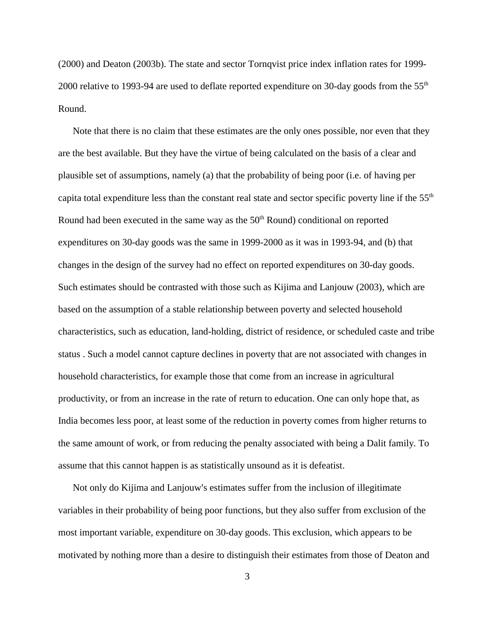(2000) and Deaton (2003b). The state and sector Tornqvist price index inflation rates for 1999- 2000 relative to 1993-94 are used to deflate reported expenditure on 30-day goods from the 55<sup>th</sup> Round.

Note that there is no claim that these estimates are the only ones possible, nor even that they are the best available. But they have the virtue of being calculated on the basis of a clear and plausible set of assumptions, namely (a) that the probability of being poor (i.e. of having per capita total expenditure less than the constant real state and sector specific poverty line if the 55<sup>th</sup> Round had been executed in the same way as the  $50<sup>th</sup>$  Round) conditional on reported expenditures on 30-day goods was the same in 1999-2000 as it was in 1993-94, and (b) that changes in the design of the survey had no effect on reported expenditures on 30-day goods. Such estimates should be contrasted with those such as Kijima and Lanjouw (2003), which are based on the assumption of a stable relationship between poverty and selected household characteristics, such as education, land-holding, district of residence, or scheduled caste and tribe status . Such a model cannot capture declines in poverty that are not associated with changes in household characteristics, for example those that come from an increase in agricultural productivity, or from an increase in the rate of return to education. One can only hope that, as India becomes less poor, at least some of the reduction in poverty comes from higher returns to the same amount of work, or from reducing the penalty associated with being a Dalit family. To assume that this cannot happen is as statistically unsound as it is defeatist.

Not only do Kijima and Lanjouw's estimates suffer from the inclusion of illegitimate variables in their probability of being poor functions, but they also suffer from exclusion of the most important variable, expenditure on 30-day goods. This exclusion, which appears to be motivated by nothing more than a desire to distinguish their estimates from those of Deaton and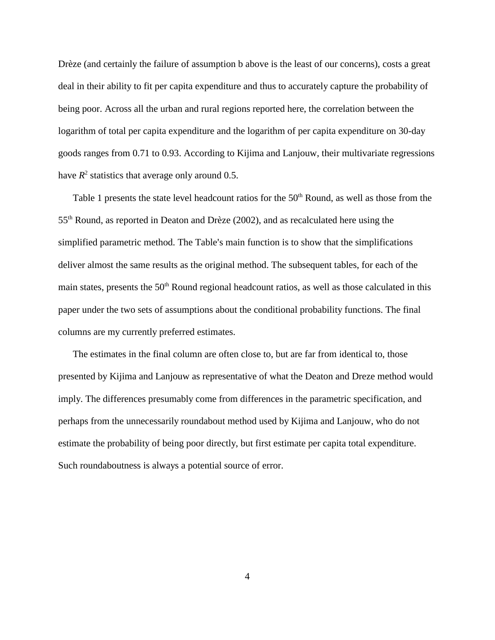Drèze (and certainly the failure of assumption b above is the least of our concerns), costs a great deal in their ability to fit per capita expenditure and thus to accurately capture the probability of being poor. Across all the urban and rural regions reported here, the correlation between the logarithm of total per capita expenditure and the logarithm of per capita expenditure on 30-day goods ranges from 0.71 to 0.93. According to Kijima and Lanjouw, their multivariate regressions have  $R^2$  statistics that average only around 0.5.

Table 1 presents the state level headcount ratios for the 50<sup>th</sup> Round, as well as those from the 55th Round, as reported in Deaton and Drèze (2002), and as recalculated here using the simplified parametric method. The Table's main function is to show that the simplifications deliver almost the same results as the original method. The subsequent tables, for each of the main states, presents the  $50<sup>th</sup>$  Round regional headcount ratios, as well as those calculated in this paper under the two sets of assumptions about the conditional probability functions. The final columns are my currently preferred estimates.

The estimates in the final column are often close to, but are far from identical to, those presented by Kijima and Lanjouw as representative of what the Deaton and Dreze method would imply. The differences presumably come from differences in the parametric specification, and perhaps from the unnecessarily roundabout method used by Kijima and Lanjouw, who do not estimate the probability of being poor directly, but first estimate per capita total expenditure. Such roundaboutness is always a potential source of error.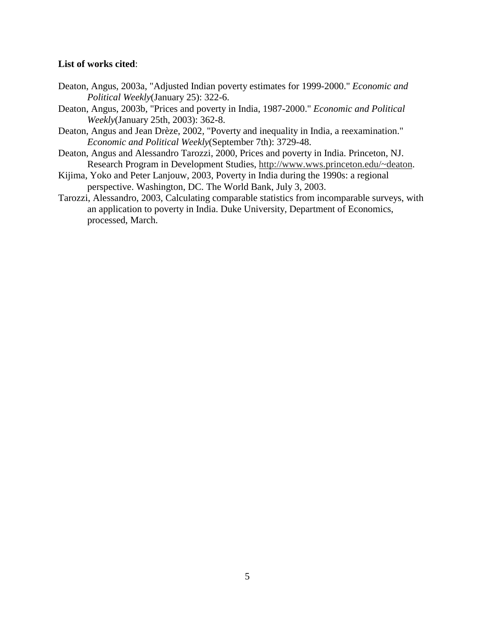#### **List of works cited**:

- Deaton, Angus, 2003a, "Adjusted Indian poverty estimates for 1999-2000." *Economic and Political Weekly*(January 25): 322-6.
- Deaton, Angus, 2003b, "Prices and poverty in India, 1987-2000." *Economic and Political Weekly*(January 25th, 2003): 362-8.
- Deaton, Angus and Jean Drèze, 2002, "Poverty and inequality in India, a reexamination." *Economic and Political Weekly*(September 7th): 3729-48.
- Deaton, Angus and Alessandro Tarozzi, 2000, Prices and poverty in India. Princeton, NJ. Research Program in Development Studies, http://www.wws.princeton.edu/~deaton.
- Kijima, Yoko and Peter Lanjouw, 2003, Poverty in India during the 1990s: a regional perspective. Washington, DC. The World Bank, July 3, 2003.
- Tarozzi, Alessandro, 2003, Calculating comparable statistics from incomparable surveys, with an application to poverty in India. Duke University, Department of Economics, processed, March.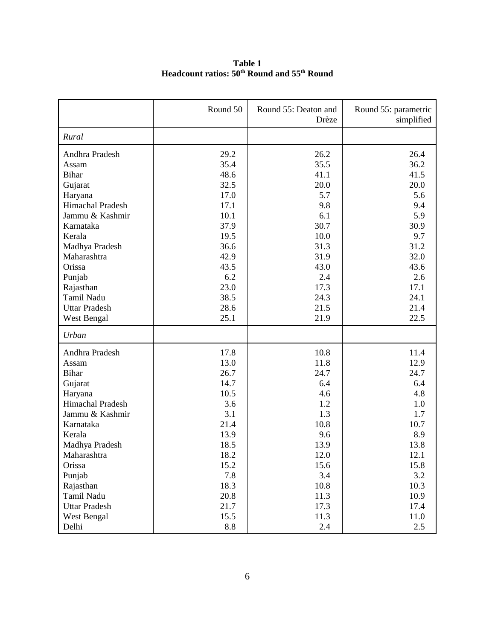**Table 1 Headcount ratios: 50th Round and 55th Round**

|                         | Round 50 | Round 55: Deaton and<br>Drèze | Round 55: parametric<br>simplified |
|-------------------------|----------|-------------------------------|------------------------------------|
| Rural                   |          |                               |                                    |
| Andhra Pradesh          | 29.2     | 26.2                          | 26.4                               |
| Assam                   | 35.4     | 35.5                          | 36.2                               |
| <b>Bihar</b>            | 48.6     | 41.1                          | 41.5                               |
| Gujarat                 | 32.5     | 20.0                          | 20.0                               |
| Haryana                 | 17.0     | 5.7                           | 5.6                                |
| Himachal Pradesh        | 17.1     | 9.8                           | 9.4                                |
| Jammu & Kashmir         | 10.1     | 6.1                           | 5.9                                |
| Karnataka               | 37.9     | 30.7                          | 30.9                               |
| Kerala                  | 19.5     | 10.0                          | 9.7                                |
| Madhya Pradesh          | 36.6     | 31.3                          | 31.2                               |
| Maharashtra             | 42.9     | 31.9                          | 32.0                               |
| Orissa                  | 43.5     | 43.0                          | 43.6                               |
| Punjab                  | 6.2      | 2.4                           | 2.6                                |
| Rajasthan               | 23.0     | 17.3                          | 17.1                               |
| Tamil Nadu              | 38.5     | 24.3                          | 24.1                               |
| <b>Uttar Pradesh</b>    | 28.6     | 21.5                          | 21.4                               |
| West Bengal             | 25.1     | 21.9                          | 22.5                               |
| Urban                   |          |                               |                                    |
| Andhra Pradesh          | 17.8     | 10.8                          | 11.4                               |
| Assam                   | 13.0     | 11.8                          | 12.9                               |
| <b>Bihar</b>            | 26.7     | 24.7                          | 24.7                               |
| Gujarat                 | 14.7     | 6.4                           | 6.4                                |
| Haryana                 | 10.5     | 4.6                           | 4.8                                |
| <b>Himachal Pradesh</b> | 3.6      | 1.2                           | 1.0                                |
| Jammu & Kashmir         | 3.1      | 1.3                           | 1.7                                |
| Karnataka               | 21.4     | 10.8                          | 10.7                               |
| Kerala                  | 13.9     | 9.6                           | 8.9                                |
| Madhya Pradesh          | 18.5     | 13.9                          | 13.8                               |
| Maharashtra             | 18.2     | 12.0                          | 12.1                               |
| Orissa                  | 15.2     | 15.6                          | 15.8                               |
| Punjab                  | 7.8      | 3.4                           | 3.2                                |
| Rajasthan               | 18.3     | 10.8                          | 10.3                               |
| Tamil Nadu              | 20.8     | 11.3                          | 10.9                               |
| <b>Uttar Pradesh</b>    | 21.7     | 17.3                          | 17.4                               |
| West Bengal             | 15.5     | 11.3                          | 11.0                               |
| Delhi                   | 8.8      | 2.4                           | 2.5                                |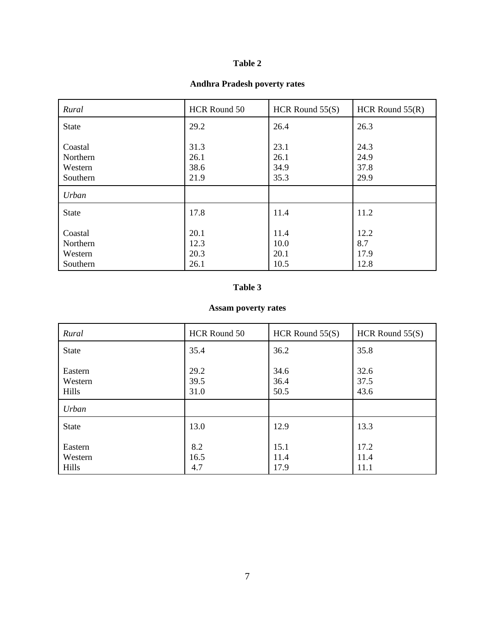#### **Andhra Pradesh poverty rates**

| Rural                                      | HCR Round 50                 | HCR Round $55(S)$            | HCR Round $55(R)$            |
|--------------------------------------------|------------------------------|------------------------------|------------------------------|
| <b>State</b>                               | 29.2                         | 26.4                         | 26.3                         |
| Coastal<br>Northern<br>Western<br>Southern | 31.3<br>26.1<br>38.6<br>21.9 | 23.1<br>26.1<br>34.9<br>35.3 | 24.3<br>24.9<br>37.8<br>29.9 |
| Urban                                      |                              |                              |                              |
| <b>State</b>                               | 17.8                         | 11.4                         | 11.2                         |
| Coastal<br>Northern<br>Western<br>Southern | 20.1<br>12.3<br>20.3<br>26.1 | 11.4<br>10.0<br>20.1<br>10.5 | 12.2<br>8.7<br>17.9<br>12.8  |

### **Table 3**

# **Assam poverty rates**

| Rural                       | HCR Round 50         | HCR Round $55(S)$    | HCR Round $55(S)$    |
|-----------------------------|----------------------|----------------------|----------------------|
| <b>State</b>                | 35.4                 | 36.2                 | 35.8                 |
| Eastern<br>Western<br>Hills | 29.2<br>39.5<br>31.0 | 34.6<br>36.4<br>50.5 | 32.6<br>37.5<br>43.6 |
| Urban                       |                      |                      |                      |
| <b>State</b>                | 13.0                 | 12.9                 | 13.3                 |
| Eastern<br>Western<br>Hills | 8.2<br>16.5<br>4.7   | 15.1<br>11.4<br>17.9 | 17.2<br>11.4<br>11.1 |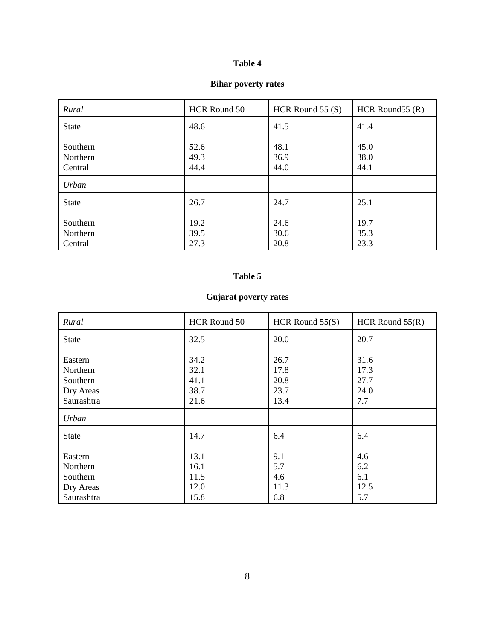#### **Bihar poverty rates**

| Rural                           | HCR Round 50         | HCR Round $55(S)$    | HCR Round $55(R)$    |
|---------------------------------|----------------------|----------------------|----------------------|
| <b>State</b>                    | 48.6                 | 41.5                 | 41.4                 |
| Southern<br>Northern<br>Central | 52.6<br>49.3<br>44.4 | 48.1<br>36.9<br>44.0 | 45.0<br>38.0<br>44.1 |
| Urban                           |                      |                      |                      |
| <b>State</b>                    | 26.7                 | 24.7                 | 25.1                 |
| Southern<br>Northern<br>Central | 19.2<br>39.5<br>27.3 | 24.6<br>30.6<br>20.8 | 19.7<br>35.3<br>23.3 |

#### **Table 5**

# **Gujarat poverty rates**

| Rural                                                      | HCR Round 50                         | HCR Round $55(S)$                    | HCR Round $55(R)$                   |
|------------------------------------------------------------|--------------------------------------|--------------------------------------|-------------------------------------|
| <b>State</b>                                               | 32.5                                 | 20.0                                 | 20.7                                |
| Eastern<br>Northern<br>Southern<br>Dry Areas<br>Saurashtra | 34.2<br>32.1<br>41.1<br>38.7<br>21.6 | 26.7<br>17.8<br>20.8<br>23.7<br>13.4 | 31.6<br>17.3<br>27.7<br>24.0<br>7.7 |
| Urban                                                      |                                      |                                      |                                     |
| <b>State</b>                                               | 14.7                                 | 6.4                                  | 6.4                                 |
| Eastern<br>Northern<br>Southern<br>Dry Areas<br>Saurashtra | 13.1<br>16.1<br>11.5<br>12.0<br>15.8 | 9.1<br>5.7<br>4.6<br>11.3<br>6.8     | 4.6<br>6.2<br>6.1<br>12.5<br>5.7    |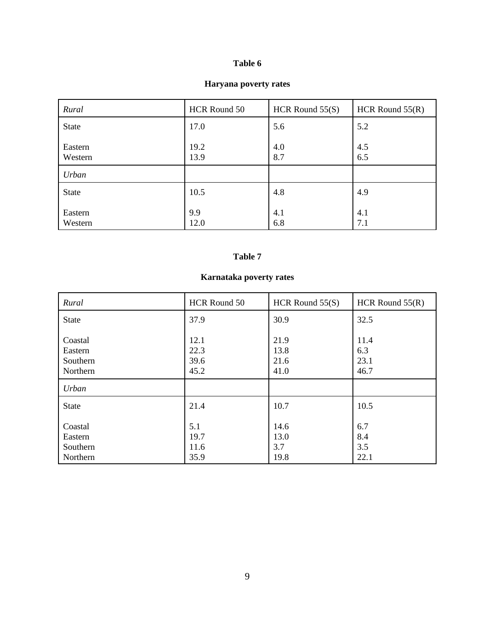#### **Haryana poverty rates**

| Rural              | HCR Round 50 | HCR Round $55(S)$ | HCR Round $55(R)$ |
|--------------------|--------------|-------------------|-------------------|
| <b>State</b>       | 17.0         | 5.6               | 5.2               |
| Eastern<br>Western | 19.2<br>13.9 | 4.0<br>8.7        | 4.5<br>6.5        |
| Urban              |              |                   |                   |
| <b>State</b>       | 10.5         | 4.8               | 4.9               |
| Eastern<br>Western | 9.9<br>12.0  | 4.1<br>6.8        | 4.1<br>7.1        |

# **Table 7**

# **Karnataka poverty rates**

| Rural                                      | HCR Round 50                 | HCR Round $55(S)$            | HCR Round $55(R)$           |
|--------------------------------------------|------------------------------|------------------------------|-----------------------------|
| <b>State</b>                               | 37.9                         | 30.9                         | 32.5                        |
| Coastal<br>Eastern<br>Southern<br>Northern | 12.1<br>22.3<br>39.6<br>45.2 | 21.9<br>13.8<br>21.6<br>41.0 | 11.4<br>6.3<br>23.1<br>46.7 |
| Urban                                      |                              |                              |                             |
| <b>State</b>                               | 21.4                         | 10.7                         | 10.5                        |
| Coastal<br>Eastern<br>Southern<br>Northern | 5.1<br>19.7<br>11.6<br>35.9  | 14.6<br>13.0<br>3.7<br>19.8  | 6.7<br>8.4<br>3.5<br>22.1   |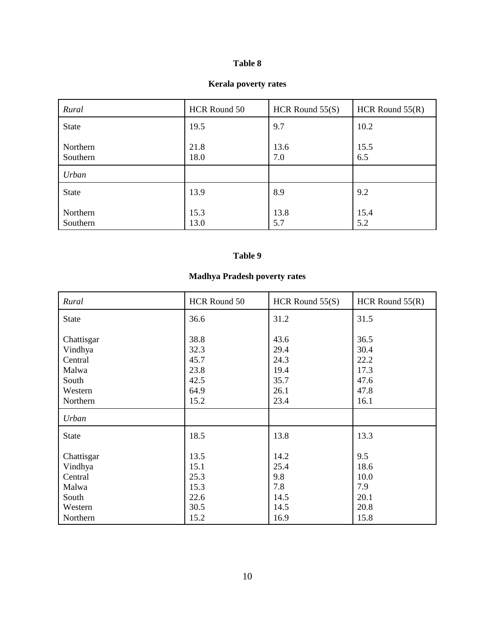#### **Kerala poverty rates**

| Rural                | HCR Round 50 | HCR Round $55(S)$ | HCR Round $55(R)$ |
|----------------------|--------------|-------------------|-------------------|
| <b>State</b>         | 19.5         | 9.7               | 10.2              |
| Northern<br>Southern | 21.8<br>18.0 | 13.6<br>7.0       | 15.5<br>6.5       |
| Urban                |              |                   |                   |
| <b>State</b>         | 13.9         | 8.9               | 9.2               |
| Northern<br>Southern | 15.3<br>13.0 | 13.8<br>5.7       | 15.4<br>5.2       |

# **Table 9**

# **Madhya Pradesh poverty rates**

| Rural                                                                     | HCR Round 50                                         | HCR Round $55(S)$                                    | HCR Round $55(R)$                                    |
|---------------------------------------------------------------------------|------------------------------------------------------|------------------------------------------------------|------------------------------------------------------|
| <b>State</b>                                                              | 36.6                                                 | 31.2                                                 | 31.5                                                 |
| Chattisgar<br>Vindhya<br>Central<br>Malwa<br>South<br>Western<br>Northern | 38.8<br>32.3<br>45.7<br>23.8<br>42.5<br>64.9<br>15.2 | 43.6<br>29.4<br>24.3<br>19.4<br>35.7<br>26.1<br>23.4 | 36.5<br>30.4<br>22.2<br>17.3<br>47.6<br>47.8<br>16.1 |
| Urban                                                                     |                                                      |                                                      |                                                      |
| <b>State</b>                                                              | 18.5                                                 | 13.8                                                 | 13.3                                                 |
| Chattisgar<br>Vindhya<br>Central<br>Malwa<br>South<br>Western             | 13.5<br>15.1<br>25.3<br>15.3<br>22.6<br>30.5         | 14.2<br>25.4<br>9.8<br>7.8<br>14.5<br>14.5           | 9.5<br>18.6<br>10.0<br>7.9<br>20.1<br>20.8           |
| Northern                                                                  | 15.2                                                 | 16.9                                                 | 15.8                                                 |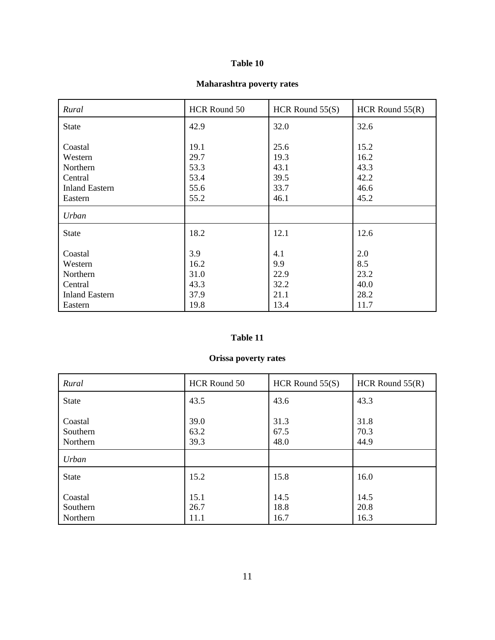#### **Maharashtra poverty rates**

| Rural                                                                         | HCR Round 50                                 | HCR Round $55(S)$                            | HCR Round $55(R)$                            |
|-------------------------------------------------------------------------------|----------------------------------------------|----------------------------------------------|----------------------------------------------|
| <b>State</b>                                                                  | 42.9                                         | 32.0                                         | 32.6                                         |
| Coastal<br>Western<br>Northern<br>Central<br><b>Inland Eastern</b><br>Eastern | 19.1<br>29.7<br>53.3<br>53.4<br>55.6<br>55.2 | 25.6<br>19.3<br>43.1<br>39.5<br>33.7<br>46.1 | 15.2<br>16.2<br>43.3<br>42.2<br>46.6<br>45.2 |
| Urban                                                                         |                                              |                                              |                                              |
| <b>State</b>                                                                  | 18.2                                         | 12.1                                         | 12.6                                         |
| Coastal<br>Western<br>Northern<br>Central<br><b>Inland Eastern</b><br>Eastern | 3.9<br>16.2<br>31.0<br>43.3<br>37.9<br>19.8  | 4.1<br>9.9<br>22.9<br>32.2<br>21.1<br>13.4   | 2.0<br>8.5<br>23.2<br>40.0<br>28.2<br>11.7   |

### **Table 11**

# **Orissa poverty rates**

| Rural                           | HCR Round 50         | HCR Round $55(S)$    | HCR Round $55(R)$    |
|---------------------------------|----------------------|----------------------|----------------------|
| <b>State</b>                    | 43.5                 | 43.6                 | 43.3                 |
| Coastal<br>Southern<br>Northern | 39.0<br>63.2<br>39.3 | 31.3<br>67.5<br>48.0 | 31.8<br>70.3<br>44.9 |
| Urban                           |                      |                      |                      |
| <b>State</b>                    | 15.2                 | 15.8                 | 16.0                 |
| Coastal<br>Southern<br>Northern | 15.1<br>26.7<br>11.1 | 14.5<br>18.8<br>16.7 | 14.5<br>20.8<br>16.3 |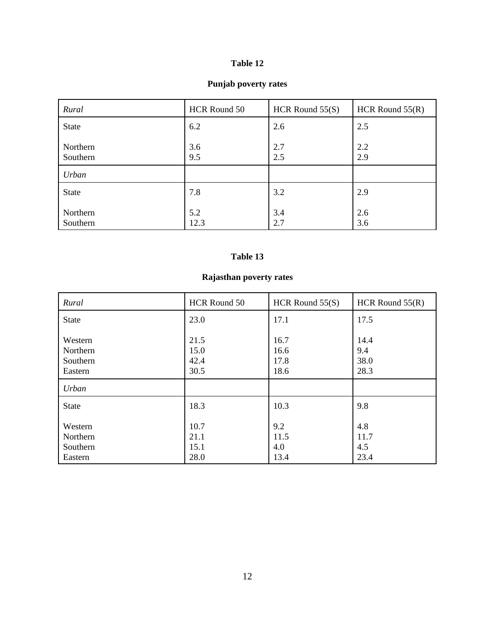#### **Punjab poverty rates**

| Rural                | HCR Round 50 | HCR Round $55(S)$ | HCR Round $55(R)$ |
|----------------------|--------------|-------------------|-------------------|
| <b>State</b>         | 6.2          | 2.6               | 2.5               |
| Northern<br>Southern | 3.6<br>9.5   | 2.7<br>2.5        | 2.2<br>2.9        |
| Urban                |              |                   |                   |
| <b>State</b>         | 7.8          | 3.2               | 2.9               |
| Northern<br>Southern | 5.2<br>12.3  | 3.4<br>2.7        | 2.6<br>3.6        |

#### **Table 13**

# **Rajasthan poverty rates**

| Rural                                      | HCR Round 50                 | HCR Round $55(S)$            | HCR Round $55(R)$           |
|--------------------------------------------|------------------------------|------------------------------|-----------------------------|
| <b>State</b>                               | 23.0                         | 17.1                         | 17.5                        |
| Western<br>Northern<br>Southern<br>Eastern | 21.5<br>15.0<br>42.4<br>30.5 | 16.7<br>16.6<br>17.8<br>18.6 | 14.4<br>9.4<br>38.0<br>28.3 |
| Urban                                      |                              |                              |                             |
| <b>State</b>                               | 18.3                         | 10.3                         | 9.8                         |
| Western<br>Northern<br>Southern<br>Eastern | 10.7<br>21.1<br>15.1<br>28.0 | 9.2<br>11.5<br>4.0<br>13.4   | 4.8<br>11.7<br>4.5<br>23.4  |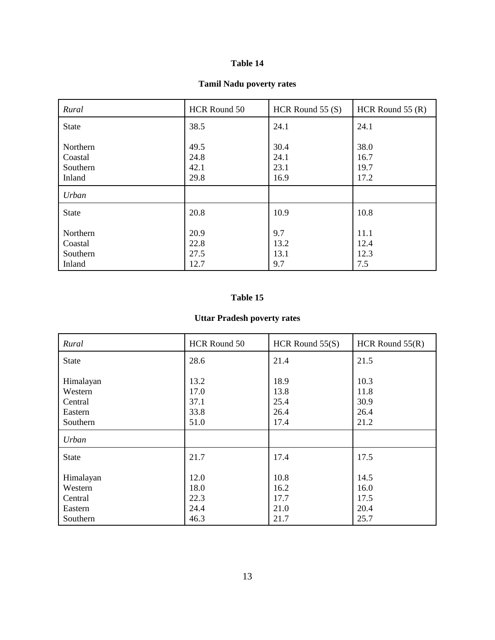#### **Tamil Nadu poverty rates**

| Rural                                     | HCR Round 50                 | HCR Round $55(S)$            | HCR Round $55(R)$            |
|-------------------------------------------|------------------------------|------------------------------|------------------------------|
| <b>State</b>                              | 38.5                         | 24.1                         | 24.1                         |
| Northern<br>Coastal<br>Southern<br>Inland | 49.5<br>24.8<br>42.1<br>29.8 | 30.4<br>24.1<br>23.1<br>16.9 | 38.0<br>16.7<br>19.7<br>17.2 |
| Urban                                     |                              |                              |                              |
| <b>State</b>                              | 20.8                         | 10.9                         | 10.8                         |
| Northern<br>Coastal<br>Southern<br>Inland | 20.9<br>22.8<br>27.5<br>12.7 | 9.7<br>13.2<br>13.1<br>9.7   | 11.1<br>12.4<br>12.3<br>7.5  |

#### **Table 15**

# **Uttar Pradesh poverty rates**

| Rural                                                  | HCR Round 50                         | HCR Round $55(S)$                    | HCR Round $55(R)$                    |
|--------------------------------------------------------|--------------------------------------|--------------------------------------|--------------------------------------|
| <b>State</b>                                           | 28.6                                 | 21.4                                 | 21.5                                 |
| Himalayan<br>Western<br>Central<br>Eastern<br>Southern | 13.2<br>17.0<br>37.1<br>33.8<br>51.0 | 18.9<br>13.8<br>25.4<br>26.4<br>17.4 | 10.3<br>11.8<br>30.9<br>26.4<br>21.2 |
| Urban                                                  |                                      |                                      |                                      |
| <b>State</b>                                           | 21.7                                 | 17.4                                 | 17.5                                 |
| Himalayan<br>Western<br>Central<br>Eastern<br>Southern | 12.0<br>18.0<br>22.3<br>24.4<br>46.3 | 10.8<br>16.2<br>17.7<br>21.0<br>21.7 | 14.5<br>16.0<br>17.5<br>20.4<br>25.7 |